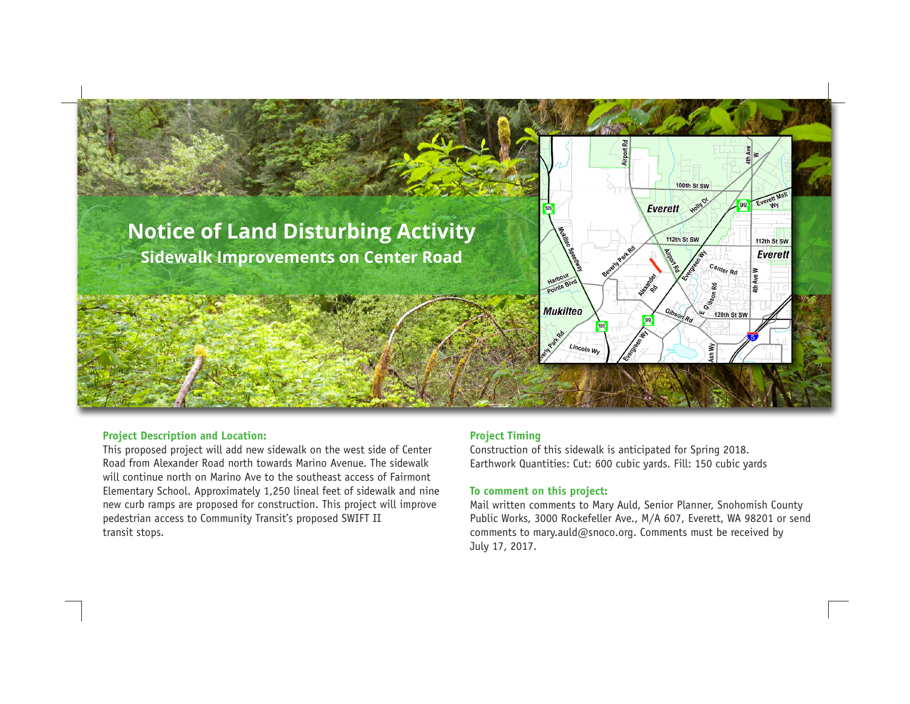

### **Project Description and Location:**

This proposed project will add new sidewalk on the west side of Center Road from Alexander Road north towards Marino Avenue. The sidewalk will continue north on Marino Ave to the southeast access of Fairmont Elementary School. Approximately 1,250 lineal feet of sidewalk and nine new curb ramps are proposed for construction. This project will improve pedestrian access to Community Transit's proposed SWIFT II transit stops.

# **Project Timing**

Construction of this sidewalk is anticipated for Spring 2018. Earthwork Quantities: Cut: 600 cubic yards. Fill: 150 cubic yards

## **To comment on this project:**

Mail written comments to Mary Auld, Senior Planner, Snohomish County Public Works, 3000 Rockefeller Ave., M/A 607, Everett, WA 98201 or send comments to mary.auld@snoco.org. Comments must be received by July 17, 2017.